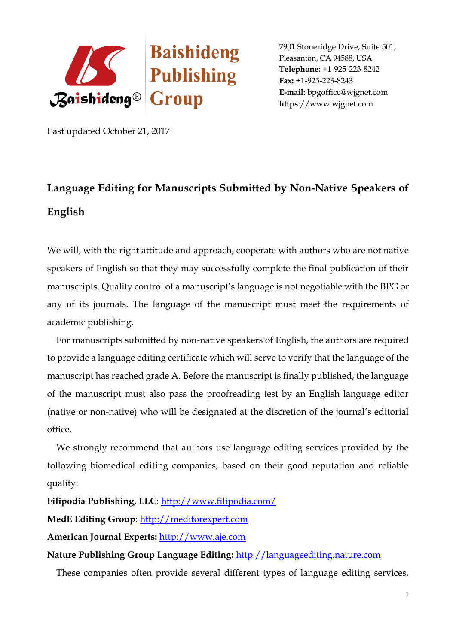

7901 Stoneridge Drive, Suite 501, Pleasanton, CA 94588, USA **Telephone:** +1-925-223-8242 **Fax:** +1-925-223-8243 **E-mail:** [bpgoffice@wjgnet.com](mailto:bpgoffice@wjgnet.com)  **https**://www.wjgnet.com

Last updated October 21, 2017

## **Language Editing for Manuscripts Submitted by Non-Native Speakers of English**

We will, with the right attitude and approach, cooperate with authors who are not native speakers of English so that they may successfully complete the final publication of their manuscripts. Quality control of a manuscript's language is not negotiable with the BPG or any of its journals. The language of the manuscript must meet the requirements of academic publishing.

 For manuscripts submitted by non-native speakers of English, the authors are required to provide a language editing certificate which will serve to verify that the language of the manuscript has reached grade A. Before the manuscript is finally published, the language of the manuscript must also pass the proofreading test by an English language editor (native or non-native) who will be designated at the discretion of the journal's editorial office.

We strongly recommend that authors use language editing services provided by the following biomedical editing companies, based on their good reputation and reliable quality:

**Filipodia Publishing, LLC**:<http://www.filipodia.com/>

**MedE Editing Group**: [http://meditorexpert.com](http://meditorexpert.com/)

**American Journal Experts:** [http://www.aje.com](http://www.aje.com/)

**Nature Publishing Group Language Editing:** [http://languageediting.nature.com](http://languageediting.nature.com/)

These companies often provide several different types of language editing services,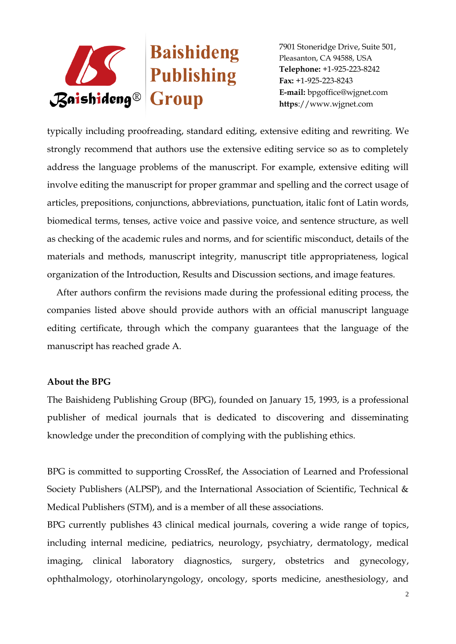

7901 Stoneridge Drive, Suite 501, Pleasanton, CA 94588, USA **Telephone:** +1-925-223-8242 **Fax:** +1-925-223-8243 **E-mail:** [bpgoffice@wjgnet.com](mailto:bpgoffice@wjgnet.com)  **https**://www.wjgnet.com

typically including proofreading, standard editing, extensive editing and rewriting. We strongly recommend that authors use the extensive editing service so as to completely address the language problems of the manuscript. For example, extensive editing will involve editing the manuscript for proper grammar and spelling and the correct usage of articles, prepositions, conjunctions, abbreviations, punctuation, italic font of Latin words, biomedical terms, tenses, active voice and passive voice, and sentence structure, as well as checking of the academic rules and norms, and for scientific misconduct, details of the materials and methods, manuscript integrity, manuscript title appropriateness, logical organization of the Introduction, Results and Discussion sections, and image features.

 After authors confirm the revisions made during the professional editing process, the companies listed above should provide authors with an official manuscript language editing certificate, through which the company guarantees that the language of the manuscript has reached grade A.

## **About the BPG**

The Baishideng Publishing Group (BPG), founded on January 15, 1993, is a professional publisher of medical journals that is dedicated to discovering and disseminating knowledge under the precondition of complying with the publishing ethics.

BPG is committed to supporting CrossRef, the Association of Learned and Professional Society Publishers (ALPSP), and the International Association of Scientific, Technical & Medical Publishers (STM), and is a member of all these associations.

BPG currently publishes 43 clinical medical journals, covering a wide range of topics, including internal medicine, pediatrics, neurology, psychiatry, dermatology, medical imaging, clinical laboratory diagnostics, surgery, obstetrics and gynecology, ophthalmology, otorhinolaryngology, oncology, sports medicine, anesthesiology, and